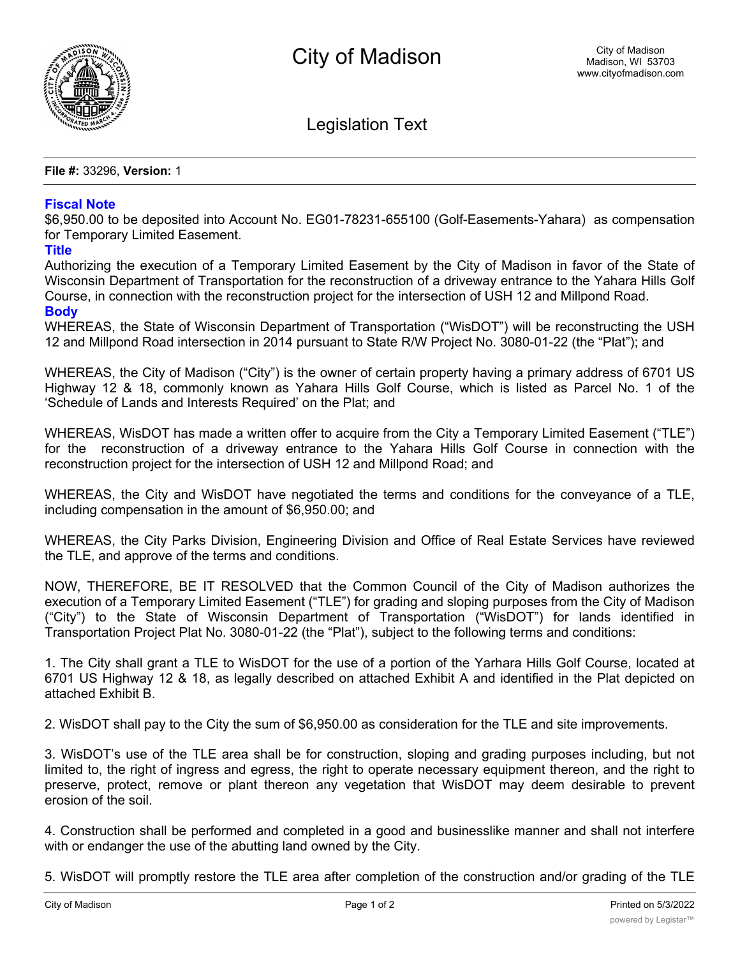

Legislation Text

**File #:** 33296, **Version:** 1

## **Fiscal Note**

\$6,950.00 to be deposited into Account No. EG01-78231-655100 (Golf-Easements-Yahara) as compensation for Temporary Limited Easement.

## **Title**

Authorizing the execution of a Temporary Limited Easement by the City of Madison in favor of the State of Wisconsin Department of Transportation for the reconstruction of a driveway entrance to the Yahara Hills Golf Course, in connection with the reconstruction project for the intersection of USH 12 and Millpond Road.

## **Body**

WHEREAS, the State of Wisconsin Department of Transportation ("WisDOT") will be reconstructing the USH 12 and Millpond Road intersection in 2014 pursuant to State R/W Project No. 3080-01-22 (the "Plat"); and

WHEREAS, the City of Madison ("City") is the owner of certain property having a primary address of 6701 US Highway 12 & 18, commonly known as Yahara Hills Golf Course, which is listed as Parcel No. 1 of the 'Schedule of Lands and Interests Required' on the Plat; and

WHEREAS, WisDOT has made a written offer to acquire from the City a Temporary Limited Easement ("TLE") for the reconstruction of a driveway entrance to the Yahara Hills Golf Course in connection with the reconstruction project for the intersection of USH 12 and Millpond Road; and

WHEREAS, the City and WisDOT have negotiated the terms and conditions for the conveyance of a TLE, including compensation in the amount of \$6,950.00; and

WHEREAS, the City Parks Division, Engineering Division and Office of Real Estate Services have reviewed the TLE, and approve of the terms and conditions.

NOW, THEREFORE, BE IT RESOLVED that the Common Council of the City of Madison authorizes the execution of a Temporary Limited Easement ("TLE") for grading and sloping purposes from the City of Madison ("City") to the State of Wisconsin Department of Transportation ("WisDOT") for lands identified in Transportation Project Plat No. 3080-01-22 (the "Plat"), subject to the following terms and conditions:

1. The City shall grant a TLE to WisDOT for the use of a portion of the Yarhara Hills Golf Course, located at 6701 US Highway 12 & 18, as legally described on attached Exhibit A and identified in the Plat depicted on attached Exhibit B.

2. WisDOT shall pay to the City the sum of \$6,950.00 as consideration for the TLE and site improvements.

3. WisDOT's use of the TLE area shall be for construction, sloping and grading purposes including, but not limited to, the right of ingress and egress, the right to operate necessary equipment thereon, and the right to preserve, protect, remove or plant thereon any vegetation that WisDOT may deem desirable to prevent erosion of the soil.

4. Construction shall be performed and completed in a good and businesslike manner and shall not interfere with or endanger the use of the abutting land owned by the City.

5. WisDOT will promptly restore the TLE area after completion of the construction and/or grading of the TLE